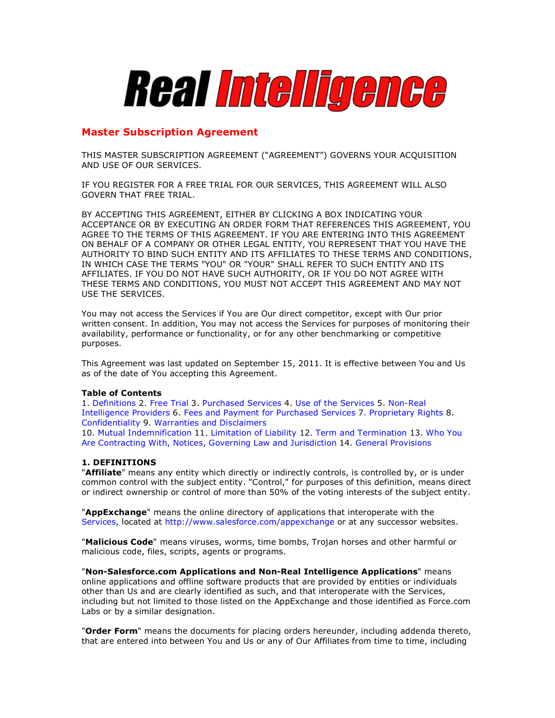

# **Master Subscription Agreement**

THIS MASTER SUBSCRIPTION AGREEMENT ("AGREEMENT") GOVERNS YOUR ACQUISITION AND USE OF OUR SERVICES.

IF YOU REGISTER FOR A FREE TRIAL FOR OUR SERVICES, THIS AGREEMENT WILL ALSO GOVERN THAT FREE TRIAL.

BY ACCEPTING THIS AGREEMENT, EITHER BY CLICKING A BOX INDICATING YOUR ACCEPTANCE OR BY EXECUTING AN ORDER FORM THAT REFERENCES THIS AGREEMENT, YOU AGREE TO THE TERMS OF THIS AGREEMENT. IF YOU ARE ENTERING INTO THIS AGREEMENT ON BEHALF OF A COMPANY OR OTHER LEGAL ENTITY, YOU REPRESENT THAT YOU HAVE THE AUTHORITY TO BIND SUCH ENTITY AND ITS AFFILIATES TO THESE TERMS AND CONDITIONS, IN WHICH CASE THE TERMS "YOU" OR "YOUR" SHALL REFER TO SUCH ENTITY AND ITS AFFILIATES. IF YOU DO NOT HAVE SUCH AUTHORITY, OR IF YOU DO NOT AGREE WITH THESE TERMS AND CONDITIONS, YOU MUST NOT ACCEPT THIS AGREEMENT AND MAY NOT USE THE SERVICES.

You may not access the Services if You are Our direct competitor, except with Our prior written consent. In addition, You may not access the Services for purposes of monitoring their availability, performance or functionality, or for any other benchmarking or competitive purposes.

This Agreement was last updated on September 15, 2011. It is effective between You and Us as of the date of You accepting this Agreement.

#### **Table of Contents**

1. Definitions 2. Free Trial 3. Purchased Services 4. Use of the Services 5. Non-Real Intelligence Providers 6. Fees and Payment for Purchased Services 7. Proprietary Rights 8. Confidentiality 9. Warranties and Disclaimers 10. Mutual Indemnification 11. Limitation of Liability 12. Term and Termination 13. Who You Are Contracting With, Notices, Governing Law and Jurisdiction 14. General Provisions

#### **1. DEFINITIONS**

"**Affiliate**" means any entity which directly or indirectly controls, is controlled by, or is under common control with the subject entity. "Control," for purposes of this definition, means direct or indirect ownership or control of more than 50% of the voting interests of the subject entity.

"**AppExchange**" means the online directory of applications that interoperate with the Services, located at http://www.salesforce.com/appexchange or at any successor websites.

"**Malicious Code**" means viruses, worms, time bombs, Trojan horses and other harmful or malicious code, files, scripts, agents or programs.

"**Non-Salesforce.com Applications and Non-Real Intelligence Applications**" means online applications and offline software products that are provided by entities or individuals other than Us and are clearly identified as such, and that interoperate with the Services, including but not limited to those listed on the AppExchange and those identified as Force.com Labs or by a similar designation.

"**Order Form**" means the documents for placing orders hereunder, including addenda thereto, that are entered into between You and Us or any of Our Affiliates from time to time, including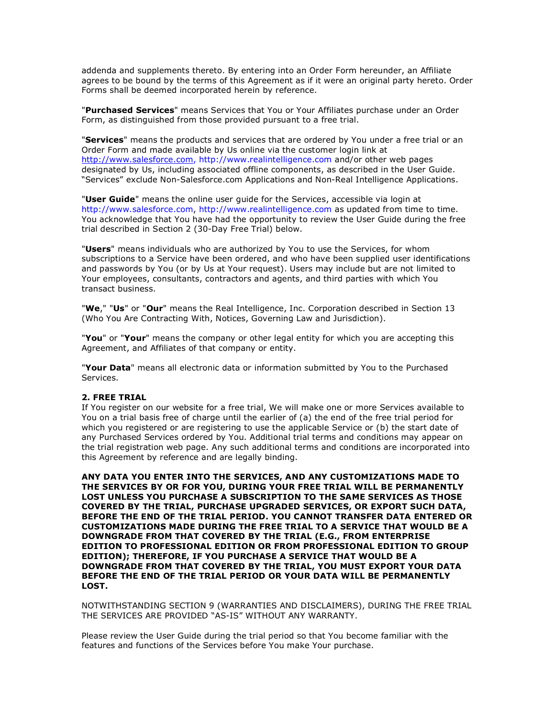addenda and supplements thereto. By entering into an Order Form hereunder, an Affiliate agrees to be bound by the terms of this Agreement as if it were an original party hereto. Order Forms shall be deemed incorporated herein by reference.

"**Purchased Services**" means Services that You or Your Affiliates purchase under an Order Form, as distinguished from those provided pursuant to a free trial.

"**Services**" means the products and services that are ordered by You under a free trial or an Order Form and made available by Us online via the customer login link at http://www.salesforce.com, http://www.realintelligence.com and/or other web pages designated by Us, including associated offline components, as described in the User Guide. "Services" exclude Non-Salesforce.com Applications and Non-Real Intelligence Applications.

"**User Guide**" means the online user guide for the Services, accessible via login at http://www.salesforce.com, http://www.realintelligence.com as updated from time to time. You acknowledge that You have had the opportunity to review the User Guide during the free trial described in Section 2 (30-Day Free Trial) below.

"**Users**" means individuals who are authorized by You to use the Services, for whom subscriptions to a Service have been ordered, and who have been supplied user identifications and passwords by You (or by Us at Your request). Users may include but are not limited to Your employees, consultants, contractors and agents, and third parties with which You transact business.

"**We**," "**Us**" or "**Our**" means the Real Intelligence, Inc. Corporation described in Section 13 (Who You Are Contracting With, Notices, Governing Law and Jurisdiction).

"**You**" or "**Your**" means the company or other legal entity for which you are accepting this Agreement, and Affiliates of that company or entity.

"**Your Data**" means all electronic data or information submitted by You to the Purchased Services.

#### **2. FREE TRIAL**

If You register on our website for a free trial, We will make one or more Services available to You on a trial basis free of charge until the earlier of (a) the end of the free trial period for which you registered or are registering to use the applicable Service or (b) the start date of any Purchased Services ordered by You. Additional trial terms and conditions may appear on the trial registration web page. Any such additional terms and conditions are incorporated into this Agreement by reference and are legally binding.

**ANY DATA YOU ENTER INTO THE SERVICES, AND ANY CUSTOMIZATIONS MADE TO THE SERVICES BY OR FOR YOU, DURING YOUR FREE TRIAL WILL BE PERMANENTLY LOST UNLESS YOU PURCHASE A SUBSCRIPTION TO THE SAME SERVICES AS THOSE COVERED BY THE TRIAL, PURCHASE UPGRADED SERVICES, OR EXPORT SUCH DATA, BEFORE THE END OF THE TRIAL PERIOD. YOU CANNOT TRANSFER DATA ENTERED OR CUSTOMIZATIONS MADE DURING THE FREE TRIAL TO A SERVICE THAT WOULD BE A DOWNGRADE FROM THAT COVERED BY THE TRIAL (E.G., FROM ENTERPRISE EDITION TO PROFESSIONAL EDITION OR FROM PROFESSIONAL EDITION TO GROUP EDITION); THEREFORE, IF YOU PURCHASE A SERVICE THAT WOULD BE A DOWNGRADE FROM THAT COVERED BY THE TRIAL, YOU MUST EXPORT YOUR DATA BEFORE THE END OF THE TRIAL PERIOD OR YOUR DATA WILL BE PERMANENTLY LOST.**

NOTWITHSTANDING SECTION 9 (WARRANTIES AND DISCLAIMERS), DURING THE FREE TRIAL THE SERVICES ARE PROVIDED "AS-IS" WITHOUT ANY WARRANTY.

Please review the User Guide during the trial period so that You become familiar with the features and functions of the Services before You make Your purchase.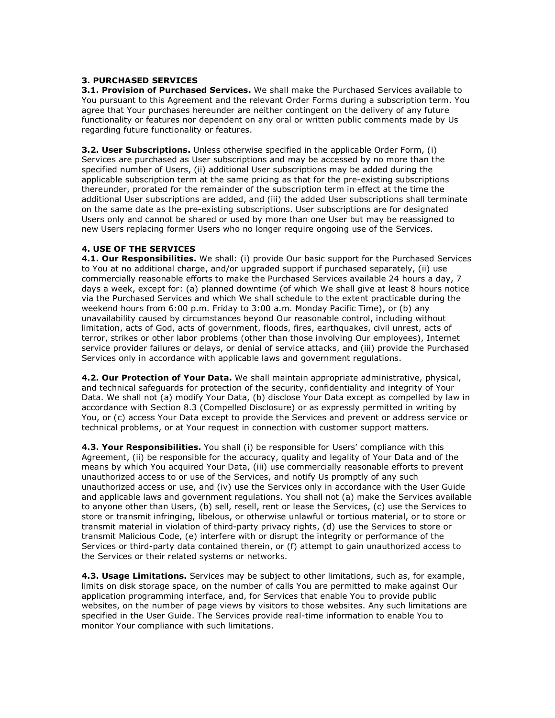## **3. PURCHASED SERVICES**

**3.1. Provision of Purchased Services.** We shall make the Purchased Services available to You pursuant to this Agreement and the relevant Order Forms during a subscription term. You agree that Your purchases hereunder are neither contingent on the delivery of any future functionality or features nor dependent on any oral or written public comments made by Us regarding future functionality or features.

**3.2. User Subscriptions.** Unless otherwise specified in the applicable Order Form, (i) Services are purchased as User subscriptions and may be accessed by no more than the specified number of Users, (ii) additional User subscriptions may be added during the applicable subscription term at the same pricing as that for the pre-existing subscriptions thereunder, prorated for the remainder of the subscription term in effect at the time the additional User subscriptions are added, and (iii) the added User subscriptions shall terminate on the same date as the pre-existing subscriptions. User subscriptions are for designated Users only and cannot be shared or used by more than one User but may be reassigned to new Users replacing former Users who no longer require ongoing use of the Services.

#### **4. USE OF THE SERVICES**

**4.1. Our Responsibilities.** We shall: (i) provide Our basic support for the Purchased Services to You at no additional charge, and/or upgraded support if purchased separately, (ii) use commercially reasonable efforts to make the Purchased Services available 24 hours a day, 7 days a week, except for: (a) planned downtime (of which We shall give at least 8 hours notice via the Purchased Services and which We shall schedule to the extent practicable during the weekend hours from 6:00 p.m. Friday to 3:00 a.m. Monday Pacific Time), or (b) any unavailability caused by circumstances beyond Our reasonable control, including without limitation, acts of God, acts of government, floods, fires, earthquakes, civil unrest, acts of terror, strikes or other labor problems (other than those involving Our employees), Internet service provider failures or delays, or denial of service attacks, and (iii) provide the Purchased Services only in accordance with applicable laws and government regulations.

**4.2. Our Protection of Your Data.** We shall maintain appropriate administrative, physical, and technical safeguards for protection of the security, confidentiality and integrity of Your Data. We shall not (a) modify Your Data, (b) disclose Your Data except as compelled by law in accordance with Section 8.3 (Compelled Disclosure) or as expressly permitted in writing by You, or (c) access Your Data except to provide the Services and prevent or address service or technical problems, or at Your request in connection with customer support matters.

**4.3. Your Responsibilities.** You shall (i) be responsible for Users' compliance with this Agreement, (ii) be responsible for the accuracy, quality and legality of Your Data and of the means by which You acquired Your Data, (iii) use commercially reasonable efforts to prevent unauthorized access to or use of the Services, and notify Us promptly of any such unauthorized access or use, and (iv) use the Services only in accordance with the User Guide and applicable laws and government regulations. You shall not (a) make the Services available to anyone other than Users, (b) sell, resell, rent or lease the Services, (c) use the Services to store or transmit infringing, libelous, or otherwise unlawful or tortious material, or to store or transmit material in violation of third-party privacy rights, (d) use the Services to store or transmit Malicious Code, (e) interfere with or disrupt the integrity or performance of the Services or third-party data contained therein, or (f) attempt to gain unauthorized access to the Services or their related systems or networks.

**4.3. Usage Limitations.** Services may be subject to other limitations, such as, for example, limits on disk storage space, on the number of calls You are permitted to make against Our application programming interface, and, for Services that enable You to provide public websites, on the number of page views by visitors to those websites. Any such limitations are specified in the User Guide. The Services provide real-time information to enable You to monitor Your compliance with such limitations.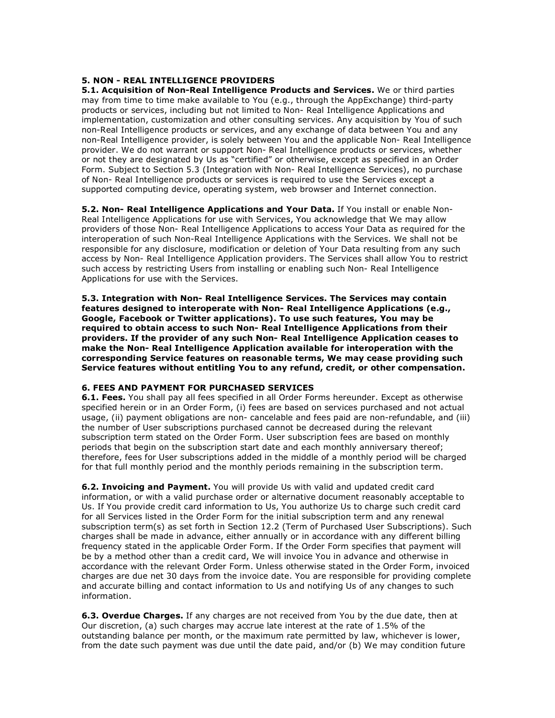#### **5. NON - REAL INTELLIGENCE PROVIDERS**

**5.1. Acquisition of Non-Real Intelligence Products and Services.** We or third parties may from time to time make available to You (e.g., through the AppExchange) third-party products or services, including but not limited to Non- Real Intelligence Applications and implementation, customization and other consulting services. Any acquisition by You of such non-Real Intelligence products or services, and any exchange of data between You and any non-Real Intelligence provider, is solely between You and the applicable Non- Real Intelligence provider. We do not warrant or support Non- Real Intelligence products or services, whether or not they are designated by Us as "certified" or otherwise, except as specified in an Order Form. Subject to Section 5.3 (Integration with Non- Real Intelligence Services), no purchase of Non- Real Intelligence products or services is required to use the Services except a supported computing device, operating system, web browser and Internet connection.

**5.2. Non- Real Intelligence Applications and Your Data.** If You install or enable Non-Real Intelligence Applications for use with Services, You acknowledge that We may allow providers of those Non- Real Intelligence Applications to access Your Data as required for the interoperation of such Non-Real Intelligence Applications with the Services. We shall not be responsible for any disclosure, modification or deletion of Your Data resulting from any such access by Non- Real Intelligence Application providers. The Services shall allow You to restrict such access by restricting Users from installing or enabling such Non- Real Intelligence Applications for use with the Services.

**5.3. Integration with Non- Real Intelligence Services. The Services may contain features designed to interoperate with Non- Real Intelligence Applications (e.g., Google, Facebook or Twitter applications). To use such features, You may be required to obtain access to such Non- Real Intelligence Applications from their providers. If the provider of any such Non- Real Intelligence Application ceases to make the Non- Real Intelligence Application available for interoperation with the corresponding Service features on reasonable terms, We may cease providing such Service features without entitling You to any refund, credit, or other compensation.**

#### **6. FEES AND PAYMENT FOR PURCHASED SERVICES**

**6.1. Fees.** You shall pay all fees specified in all Order Forms hereunder. Except as otherwise specified herein or in an Order Form, (i) fees are based on services purchased and not actual usage, (ii) payment obligations are non- cancelable and fees paid are non-refundable, and (iii) the number of User subscriptions purchased cannot be decreased during the relevant subscription term stated on the Order Form. User subscription fees are based on monthly periods that begin on the subscription start date and each monthly anniversary thereof; therefore, fees for User subscriptions added in the middle of a monthly period will be charged for that full monthly period and the monthly periods remaining in the subscription term.

**6.2. Invoicing and Payment.** You will provide Us with valid and updated credit card information, or with a valid purchase order or alternative document reasonably acceptable to Us. If You provide credit card information to Us, You authorize Us to charge such credit card for all Services listed in the Order Form for the initial subscription term and any renewal subscription term(s) as set forth in Section 12.2 (Term of Purchased User Subscriptions). Such charges shall be made in advance, either annually or in accordance with any different billing frequency stated in the applicable Order Form. If the Order Form specifies that payment will be by a method other than a credit card, We will invoice You in advance and otherwise in accordance with the relevant Order Form. Unless otherwise stated in the Order Form, invoiced charges are due net 30 days from the invoice date. You are responsible for providing complete and accurate billing and contact information to Us and notifying Us of any changes to such information.

**6.3. Overdue Charges.** If any charges are not received from You by the due date, then at Our discretion, (a) such charges may accrue late interest at the rate of 1.5% of the outstanding balance per month, or the maximum rate permitted by law, whichever is lower, from the date such payment was due until the date paid, and/or (b) We may condition future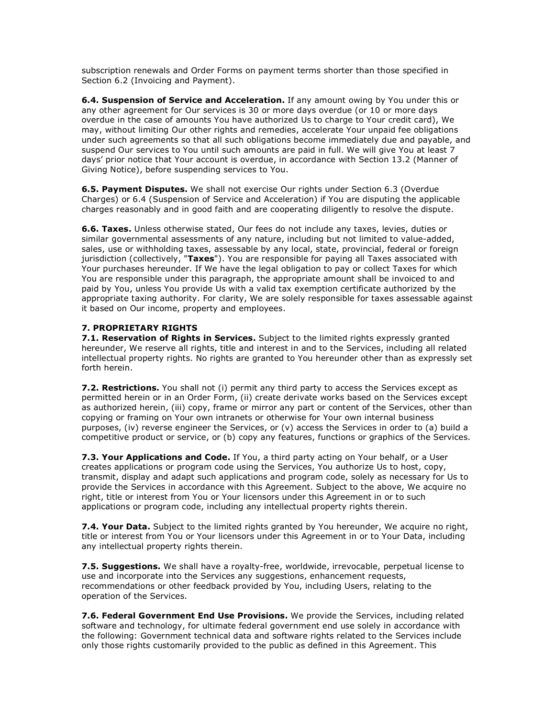subscription renewals and Order Forms on payment terms shorter than those specified in Section 6.2 (Invoicing and Payment).

**6.4. Suspension of Service and Acceleration.** If any amount owing by You under this or any other agreement for Our services is 30 or more days overdue (or 10 or more days overdue in the case of amounts You have authorized Us to charge to Your credit card), We may, without limiting Our other rights and remedies, accelerate Your unpaid fee obligations under such agreements so that all such obligations become immediately due and payable, and suspend Our services to You until such amounts are paid in full. We will give You at least 7 days' prior notice that Your account is overdue, in accordance with Section 13.2 (Manner of Giving Notice), before suspending services to You.

**6.5. Payment Disputes.** We shall not exercise Our rights under Section 6.3 (Overdue Charges) or 6.4 (Suspension of Service and Acceleration) if You are disputing the applicable charges reasonably and in good faith and are cooperating diligently to resolve the dispute.

**6.6. Taxes.** Unless otherwise stated, Our fees do not include any taxes, levies, duties or similar governmental assessments of any nature, including but not limited to value-added, sales, use or withholding taxes, assessable by any local, state, provincial, federal or foreign jurisdiction (collectively, "**Taxes**"). You are responsible for paying all Taxes associated with Your purchases hereunder. If We have the legal obligation to pay or collect Taxes for which You are responsible under this paragraph, the appropriate amount shall be invoiced to and paid by You, unless You provide Us with a valid tax exemption certificate authorized by the appropriate taxing authority. For clarity, We are solely responsible for taxes assessable against it based on Our income, property and employees.

## **7. PROPRIETARY RIGHTS**

**7.1. Reservation of Rights in Services.** Subject to the limited rights expressly granted hereunder, We reserve all rights, title and interest in and to the Services, including all related intellectual property rights. No rights are granted to You hereunder other than as expressly set forth herein.

**7.2. Restrictions.** You shall not (i) permit any third party to access the Services except as permitted herein or in an Order Form, (ii) create derivate works based on the Services except as authorized herein, (iii) copy, frame or mirror any part or content of the Services, other than copying or framing on Your own intranets or otherwise for Your own internal business purposes, (iv) reverse engineer the Services, or (v) access the Services in order to (a) build a competitive product or service, or (b) copy any features, functions or graphics of the Services.

**7.3. Your Applications and Code.** If You, a third party acting on Your behalf, or a User creates applications or program code using the Services, You authorize Us to host, copy, transmit, display and adapt such applications and program code, solely as necessary for Us to provide the Services in accordance with this Agreement. Subject to the above, We acquire no right, title or interest from You or Your licensors under this Agreement in or to such applications or program code, including any intellectual property rights therein.

**7.4. Your Data.** Subject to the limited rights granted by You hereunder, We acquire no right, title or interest from You or Your licensors under this Agreement in or to Your Data, including any intellectual property rights therein.

**7.5. Suggestions.** We shall have a royalty-free, worldwide, irrevocable, perpetual license to use and incorporate into the Services any suggestions, enhancement requests, recommendations or other feedback provided by You, including Users, relating to the operation of the Services.

**7.6. Federal Government End Use Provisions.** We provide the Services, including related software and technology, for ultimate federal government end use solely in accordance with the following: Government technical data and software rights related to the Services include only those rights customarily provided to the public as defined in this Agreement. This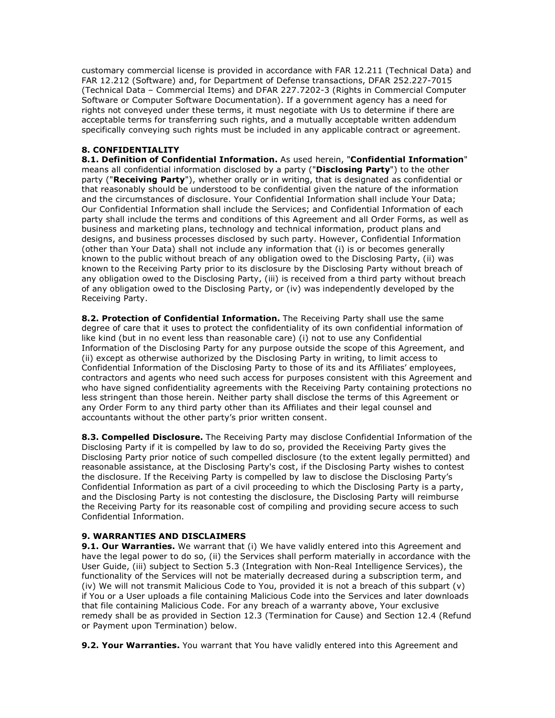customary commercial license is provided in accordance with FAR 12.211 (Technical Data) and FAR 12.212 (Software) and, for Department of Defense transactions, DFAR 252.227-7015 (Technical Data – Commercial Items) and DFAR 227.7202-3 (Rights in Commercial Computer Software or Computer Software Documentation). If a government agency has a need for rights not conveyed under these terms, it must negotiate with Us to determine if there are acceptable terms for transferring such rights, and a mutually acceptable written addendum specifically conveying such rights must be included in any applicable contract or agreement.

# **8. CONFIDENTIALITY**

**8.1. Definition of Confidential Information.** As used herein, "**Confidential Information**" means all confidential information disclosed by a party ("**Disclosing Party**") to the other party ("**Receiving Party**"), whether orally or in writing, that is designated as confidential or that reasonably should be understood to be confidential given the nature of the information and the circumstances of disclosure. Your Confidential Information shall include Your Data; Our Confidential Information shall include the Services; and Confidential Information of each party shall include the terms and conditions of this Agreement and all Order Forms, as well as business and marketing plans, technology and technical information, product plans and designs, and business processes disclosed by such party. However, Confidential Information (other than Your Data) shall not include any information that (i) is or becomes generally known to the public without breach of any obligation owed to the Disclosing Party, (ii) was known to the Receiving Party prior to its disclosure by the Disclosing Party without breach of any obligation owed to the Disclosing Party, (iii) is received from a third party without breach of any obligation owed to the Disclosing Party, or (iv) was independently developed by the Receiving Party.

**8.2. Protection of Confidential Information.** The Receiving Party shall use the same degree of care that it uses to protect the confidentiality of its own confidential information of like kind (but in no event less than reasonable care) (i) not to use any Confidential Information of the Disclosing Party for any purpose outside the scope of this Agreement, and (ii) except as otherwise authorized by the Disclosing Party in writing, to limit access to Confidential Information of the Disclosing Party to those of its and its Affiliates' employees, contractors and agents who need such access for purposes consistent with this Agreement and who have signed confidentiality agreements with the Receiving Party containing protections no less stringent than those herein. Neither party shall disclose the terms of this Agreement or any Order Form to any third party other than its Affiliates and their legal counsel and accountants without the other party's prior written consent.

**8.3. Compelled Disclosure.** The Receiving Party may disclose Confidential Information of the Disclosing Party if it is compelled by law to do so, provided the Receiving Party gives the Disclosing Party prior notice of such compelled disclosure (to the extent legally permitted) and reasonable assistance, at the Disclosing Party's cost, if the Disclosing Party wishes to contest the disclosure. If the Receiving Party is compelled by law to disclose the Disclosing Party's Confidential Information as part of a civil proceeding to which the Disclosing Party is a party, and the Disclosing Party is not contesting the disclosure, the Disclosing Party will reimburse the Receiving Party for its reasonable cost of compiling and providing secure access to such Confidential Information.

## **9. WARRANTIES AND DISCLAIMERS**

**9.1. Our Warranties.** We warrant that (i) We have validly entered into this Agreement and have the legal power to do so, (ii) the Services shall perform materially in accordance with the User Guide, (iii) subject to Section 5.3 (Integration with Non-Real Intelligence Services), the functionality of the Services will not be materially decreased during a subscription term, and (iv) We will not transmit Malicious Code to You, provided it is not a breach of this subpart (v) if You or a User uploads a file containing Malicious Code into the Services and later downloads that file containing Malicious Code. For any breach of a warranty above, Your exclusive remedy shall be as provided in Section 12.3 (Termination for Cause) and Section 12.4 (Refund or Payment upon Termination) below.

**9.2. Your Warranties.** You warrant that You have validly entered into this Agreement and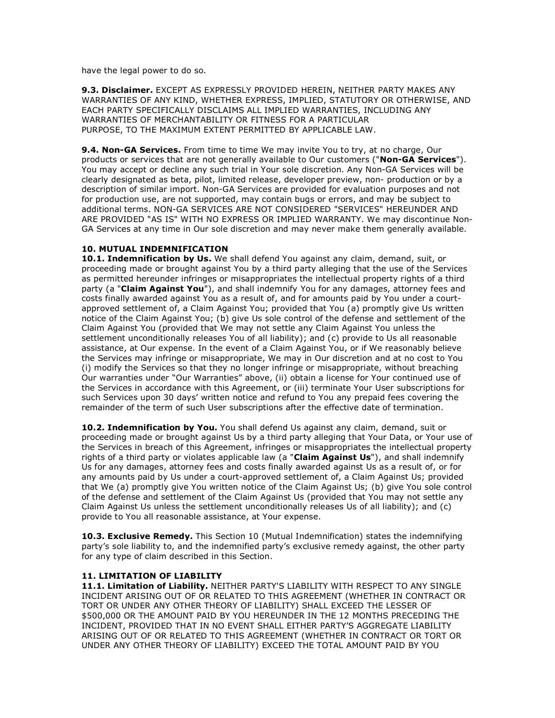have the legal power to do so.

**9.3. Disclaimer.** EXCEPT AS EXPRESSLY PROVIDED HEREIN, NEITHER PARTY MAKES ANY WARRANTIES OF ANY KIND, WHETHER EXPRESS, IMPLIED, STATUTORY OR OTHERWISE, AND EACH PARTY SPECIFICALLY DISCLAIMS ALL IMPLIED WARRANTIES, INCLUDING ANY WARRANTIES OF MERCHANTABILITY OR FITNESS FOR A PARTICULAR PURPOSE, TO THE MAXIMUM EXTENT PERMITTED BY APPLICABLE LAW.

**9.4. Non-GA Services.** From time to time We may invite You to try, at no charge, Our products or services that are not generally available to Our customers ("**Non-GA Services**"). You may accept or decline any such trial in Your sole discretion. Any Non-GA Services will be clearly designated as beta, pilot, limited release, developer preview, non- production or by a description of similar import. Non-GA Services are provided for evaluation purposes and not for production use, are not supported, may contain bugs or errors, and may be subject to additional terms. NON-GA SERVICES ARE NOT CONSIDERED "SERVICES" HEREUNDER AND ARE PROVIDED "AS IS" WITH NO EXPRESS OR IMPLIED WARRANTY. We may discontinue Non-GA Services at any time in Our sole discretion and may never make them generally available.

#### **10. MUTUAL INDEMNIFICATION**

**10.1. Indemnification by Us.** We shall defend You against any claim, demand, suit, or proceeding made or brought against You by a third party alleging that the use of the Services as permitted hereunder infringes or misappropriates the intellectual property rights of a third party (a "**Claim Against You**"), and shall indemnify You for any damages, attorney fees and costs finally awarded against You as a result of, and for amounts paid by You under a courtapproved settlement of, a Claim Against You; provided that You (a) promptly give Us written notice of the Claim Against You; (b) give Us sole control of the defense and settlement of the Claim Against You (provided that We may not settle any Claim Against You unless the settlement unconditionally releases You of all liability); and (c) provide to Us all reasonable assistance, at Our expense. In the event of a Claim Against You, or if We reasonably believe the Services may infringe or misappropriate, We may in Our discretion and at no cost to You (i) modify the Services so that they no longer infringe or misappropriate, without breaching Our warranties under "Our Warranties" above, (ii) obtain a license for Your continued use of the Services in accordance with this Agreement, or (iii) terminate Your User subscriptions for such Services upon 30 days' written notice and refund to You any prepaid fees covering the remainder of the term of such User subscriptions after the effective date of termination.

**10.2. Indemnification by You.** You shall defend Us against any claim, demand, suit or proceeding made or brought against Us by a third party alleging that Your Data, or Your use of the Services in breach of this Agreement, infringes or misappropriates the intellectual property rights of a third party or violates applicable law (a "**Claim Against Us**"), and shall indemnify Us for any damages, attorney fees and costs finally awarded against Us as a result of, or for any amounts paid by Us under a court-approved settlement of, a Claim Against Us; provided that We (a) promptly give You written notice of the Claim Against Us; (b) give You sole control of the defense and settlement of the Claim Against Us (provided that You may not settle any Claim Against Us unless the settlement unconditionally releases Us of all liability); and (c) provide to You all reasonable assistance, at Your expense.

**10.3. Exclusive Remedy.** This Section 10 (Mutual Indemnification) states the indemnifying party's sole liability to, and the indemnified party's exclusive remedy against, the other party for any type of claim described in this Section.

## **11. LIMITATION OF LIABILITY**

**11.1. Limitation of Liability.** NEITHER PARTY'S LIABILITY WITH RESPECT TO ANY SINGLE INCIDENT ARISING OUT OF OR RELATED TO THIS AGREEMENT (WHETHER IN CONTRACT OR TORT OR UNDER ANY OTHER THEORY OF LIABILITY) SHALL EXCEED THE LESSER OF \$500,000 OR THE AMOUNT PAID BY YOU HEREUNDER IN THE 12 MONTHS PRECEDING THE INCIDENT, PROVIDED THAT IN NO EVENT SHALL EITHER PARTY'S AGGREGATE LIABILITY ARISING OUT OF OR RELATED TO THIS AGREEMENT (WHETHER IN CONTRACT OR TORT OR UNDER ANY OTHER THEORY OF LIABILITY) EXCEED THE TOTAL AMOUNT PAID BY YOU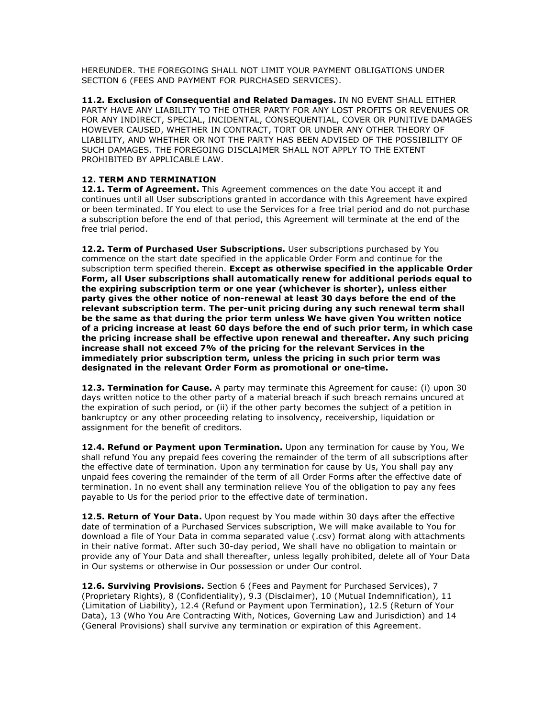HEREUNDER. THE FOREGOING SHALL NOT LIMIT YOUR PAYMENT OBLIGATIONS UNDER SECTION 6 (FEES AND PAYMENT FOR PURCHASED SERVICES).

**11.2. Exclusion of Consequential and Related Damages.** IN NO EVENT SHALL EITHER PARTY HAVE ANY LIABILITY TO THE OTHER PARTY FOR ANY LOST PROFITS OR REVENUES OR FOR ANY INDIRECT, SPECIAL, INCIDENTAL, CONSEQUENTIAL, COVER OR PUNITIVE DAMAGES HOWEVER CAUSED, WHETHER IN CONTRACT, TORT OR UNDER ANY OTHER THEORY OF LIABILITY, AND WHETHER OR NOT THE PARTY HAS BEEN ADVISED OF THE POSSIBILITY OF SUCH DAMAGES. THE FOREGOING DISCLAIMER SHALL NOT APPLY TO THE EXTENT PROHIBITED BY APPLICABLE LAW.

## **12. TERM AND TERMINATION**

**12.1. Term of Agreement.** This Agreement commences on the date You accept it and continues until all User subscriptions granted in accordance with this Agreement have expired or been terminated. If You elect to use the Services for a free trial period and do not purchase a subscription before the end of that period, this Agreement will terminate at the end of the free trial period.

**12.2. Term of Purchased User Subscriptions.** User subscriptions purchased by You commence on the start date specified in the applicable Order Form and continue for the subscription term specified therein. **Except as otherwise specified in the applicable Order Form, all User subscriptions shall automatically renew for additional periods equal to the expiring subscription term or one year (whichever is shorter), unless either party gives the other notice of non-renewal at least 30 days before the end of the relevant subscription term. The per-unit pricing during any such renewal term shall be the same as that during the prior term unless We have given You written notice of a pricing increase at least 60 days before the end of such prior term, in which case the pricing increase shall be effective upon renewal and thereafter. Any such pricing increase shall not exceed 7% of the pricing for the relevant Services in the immediately prior subscription term, unless the pricing in such prior term was designated in the relevant Order Form as promotional or one-time.**

**12.3. Termination for Cause.** A party may terminate this Agreement for cause: (i) upon 30 days written notice to the other party of a material breach if such breach remains uncured at the expiration of such period, or (ii) if the other party becomes the subject of a petition in bankruptcy or any other proceeding relating to insolvency, receivership, liquidation or assignment for the benefit of creditors.

**12.4. Refund or Payment upon Termination.** Upon any termination for cause by You, We shall refund You any prepaid fees covering the remainder of the term of all subscriptions after the effective date of termination. Upon any termination for cause by Us, You shall pay any unpaid fees covering the remainder of the term of all Order Forms after the effective date of termination. In no event shall any termination relieve You of the obligation to pay any fees payable to Us for the period prior to the effective date of termination.

**12.5. Return of Your Data.** Upon request by You made within 30 days after the effective date of termination of a Purchased Services subscription, We will make available to You for download a file of Your Data in comma separated value (.csv) format along with attachments in their native format. After such 30-day period, We shall have no obligation to maintain or provide any of Your Data and shall thereafter, unless legally prohibited, delete all of Your Data in Our systems or otherwise in Our possession or under Our control.

**12.6. Surviving Provisions.** Section 6 (Fees and Payment for Purchased Services), 7 (Proprietary Rights), 8 (Confidentiality), 9.3 (Disclaimer), 10 (Mutual Indemnification), 11 (Limitation of Liability), 12.4 (Refund or Payment upon Termination), 12.5 (Return of Your Data), 13 (Who You Are Contracting With, Notices, Governing Law and Jurisdiction) and 14 (General Provisions) shall survive any termination or expiration of this Agreement.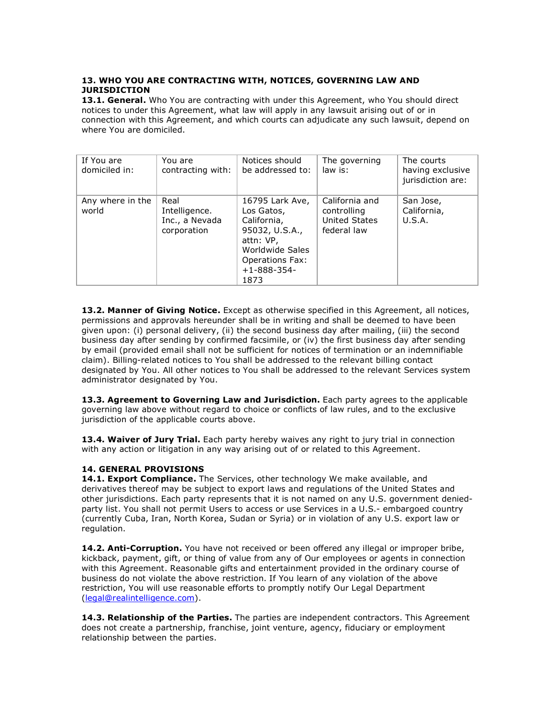## **13. WHO YOU ARE CONTRACTING WITH, NOTICES, GOVERNING LAW AND JURISDICTION**

13.1. General. Who You are contracting with under this Agreement, who You should direct notices to under this Agreement, what law will apply in any lawsuit arising out of or in connection with this Agreement, and which courts can adjudicate any such lawsuit, depend on where You are domiciled.

| If You are<br>domiciled in: | You are<br>contracting with:                           | Notices should<br>be addressed to:                                                                                                                     | The governing<br>law is:                                      | The courts<br>having exclusive<br>jurisdiction are: |
|-----------------------------|--------------------------------------------------------|--------------------------------------------------------------------------------------------------------------------------------------------------------|---------------------------------------------------------------|-----------------------------------------------------|
| Any where in the<br>world   | Real<br>Intelligence.<br>Inc., a Nevada<br>corporation | 16795 Lark Ave,<br>Los Gatos,<br>California,<br>95032, U.S.A.,<br>attn: VP,<br>Worldwide Sales<br><b>Operations Fax:</b><br>$+1 - 888 - 354 -$<br>1873 | California and<br>controlling<br>United States<br>federal law | San Jose,<br>California,<br>U.S.A.                  |

13.2. Manner of Giving Notice. Except as otherwise specified in this Agreement, all notices, permissions and approvals hereunder shall be in writing and shall be deemed to have been given upon: (i) personal delivery, (ii) the second business day after mailing, (iii) the second business day after sending by confirmed facsimile, or (iv) the first business day after sending by email (provided email shall not be sufficient for notices of termination or an indemnifiable claim). Billing-related notices to You shall be addressed to the relevant billing contact designated by You. All other notices to You shall be addressed to the relevant Services system administrator designated by You.

13.3. Agreement to Governing Law and Jurisdiction. Each party agrees to the applicable governing law above without regard to choice or conflicts of law rules, and to the exclusive jurisdiction of the applicable courts above.

13.4. Waiver of Jury Trial. Each party hereby waives any right to jury trial in connection with any action or litigation in any way arising out of or related to this Agreement.

## **14. GENERAL PROVISIONS**

**14.1. Export Compliance.** The Services, other technology We make available, and derivatives thereof may be subject to export laws and regulations of the United States and other jurisdictions. Each party represents that it is not named on any U.S. government deniedparty list. You shall not permit Users to access or use Services in a U.S.- embargoed country (currently Cuba, Iran, North Korea, Sudan or Syria) or in violation of any U.S. export law or regulation.

14.2. Anti-Corruption. You have not received or been offered any illegal or improper bribe, kickback, payment, gift, or thing of value from any of Our employees or agents in connection with this Agreement. Reasonable gifts and entertainment provided in the ordinary course of business do not violate the above restriction. If You learn of any violation of the above restriction, You will use reasonable efforts to promptly notify Our Legal Department (legal@realintelligence.com).

**14.3. Relationship of the Parties.** The parties are independent contractors. This Agreement does not create a partnership, franchise, joint venture, agency, fiduciary or employment relationship between the parties.